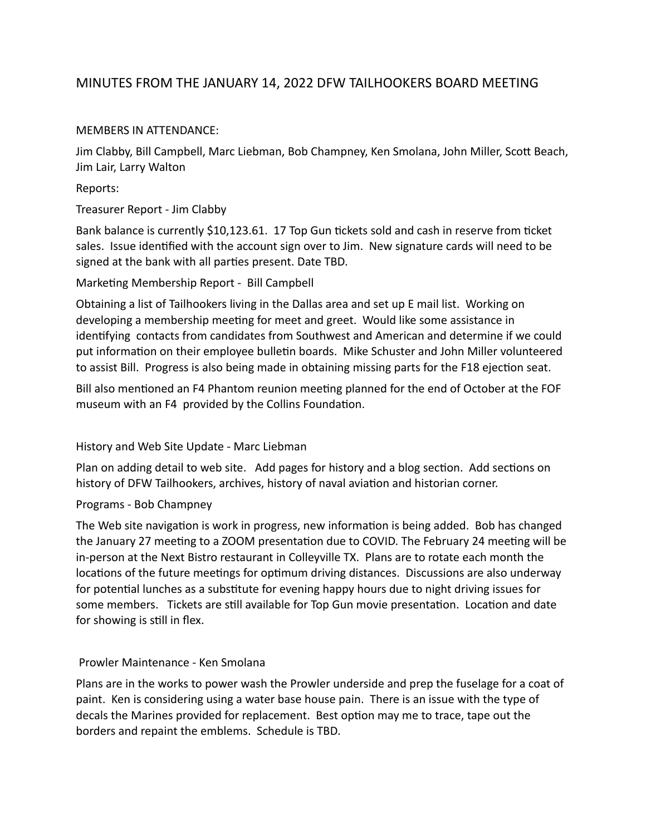# MINUTES FROM THE JANUARY 14, 2022 DFW TAILHOOKERS BOARD MEETING

## MEMBERS IN ATTENDANCE:

Jim Clabby, Bill Campbell, Marc Liebman, Bob Champney, Ken Smolana, John Miller, Scott Beach, Jim Lair, Larry Walton

Reports:

### Treasurer Report - Jim Clabby

Bank balance is currently \$10,123.61. 17 Top Gun tickets sold and cash in reserve from ticket sales. Issue identified with the account sign over to Jim. New signature cards will need to be signed at the bank with all parties present. Date TBD.

## Marketing Membership Report - Bill Campbell

Obtaining a list of Tailhookers living in the Dallas area and set up E mail list. Working on developing a membership meeting for meet and greet. Would like some assistance in identifying contacts from candidates from Southwest and American and determine if we could put information on their employee bulletin boards. Mike Schuster and John Miller volunteered to assist Bill. Progress is also being made in obtaining missing parts for the F18 ejection seat.

Bill also mentioned an F4 Phantom reunion meeting planned for the end of October at the FOF museum with an F4 provided by the Collins Foundation.

# History and Web Site Update - Marc Liebman

Plan on adding detail to web site. Add pages for history and a blog section. Add sections on history of DFW Tailhookers, archives, history of naval aviation and historian corner.

### Programs - Bob Champney

The Web site navigation is work in progress, new information is being added. Bob has changed the January 27 meeting to a ZOOM presentation due to COVID. The February 24 meeting will be in-person at the Next Bistro restaurant in Colleyville TX. Plans are to rotate each month the locations of the future meetings for optimum driving distances. Discussions are also underway for potential lunches as a substitute for evening happy hours due to night driving issues for some members. Tickets are still available for Top Gun movie presentation. Location and date for showing is still in flex.

### Prowler Maintenance - Ken Smolana

Plans are in the works to power wash the Prowler underside and prep the fuselage for a coat of paint. Ken is considering using a water base house pain. There is an issue with the type of decals the Marines provided for replacement. Best option may me to trace, tape out the borders and repaint the emblems. Schedule is TBD.